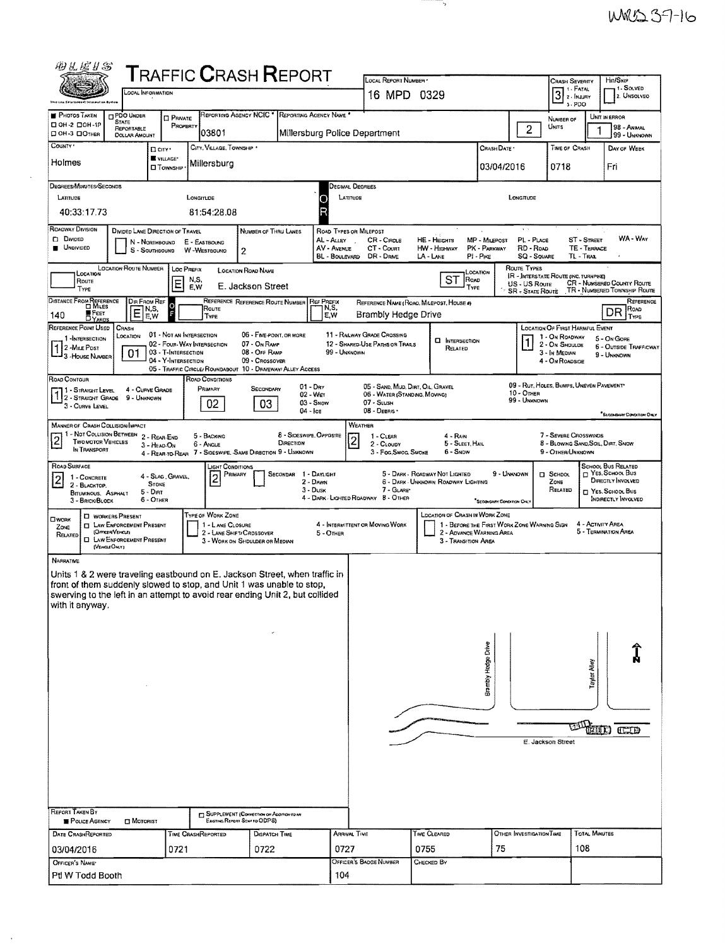|                                                |                                                                     |                                                    |                                              | <b>TRAFFIC CRASH REPORT</b>                                                  |                                      |                                                                | LOCAL REPORT NUMBER *              |                                                 |                           |                        |                                             | Crash Severity                                           | Hn/Sxr                                                     |
|------------------------------------------------|---------------------------------------------------------------------|----------------------------------------------------|----------------------------------------------|------------------------------------------------------------------------------|--------------------------------------|----------------------------------------------------------------|------------------------------------|-------------------------------------------------|---------------------------|------------------------|---------------------------------------------|----------------------------------------------------------|------------------------------------------------------------|
| Ship Low Enterne                               |                                                                     | LOCAL INFORMATION                                  |                                              |                                                                              |                                      |                                                                | 16 MPD 0329                        |                                                 |                           |                        |                                             | 3 2 INJURY<br>3-PDO                                      | 1- SOLVED<br>2. UNSOLVEO                                   |
| <b>PHOTOS TAKEN</b>                            | <b>D</b> PDO UNDER<br><b>STATE</b>                                  | <b>D</b> PRNATE                                    |                                              | REPORTING AGENCY NCIC * REPORTING AGENCY NAME *                              |                                      |                                                                |                                    |                                                 |                           |                        |                                             | NUMBER OF                                                | UNIT IN ERROR                                              |
| D OH -2 DOH -1P<br>C OH-3 COTHER               | REPORTABLE<br><b>DOLLAR AMOUNT</b>                                  | PROPERTY                                           | 03801                                        |                                                                              |                                      | Millersburg Police Department                                  |                                    |                                                 |                           |                        | $\overline{2}$<br>Unns                      |                                                          | 98 - ANMAL<br>99 - UNKNOWN                                 |
| COUNTY *                                       |                                                                     | D <sub>city</sub> .<br>VILLAGE*                    | CITY, VILLAGE, TOWNSHIP .                    |                                                                              |                                      |                                                                |                                    |                                                 |                           | CRASH DATE             |                                             | TIME OF CRASH                                            | DAY OF WEEK                                                |
| Holmes                                         |                                                                     | <b>O</b> TOWNSHIP                                  | Millersburg                                  |                                                                              |                                      |                                                                |                                    |                                                 |                           | 03/04/2016             |                                             | 0718                                                     | Fri                                                        |
| DEGREES/MINUTES/SECONDS                        |                                                                     |                                                    |                                              |                                                                              |                                      | DECIMAL DEGREES                                                |                                    |                                                 |                           |                        |                                             |                                                          |                                                            |
| LATITUDE                                       |                                                                     |                                                    | LONGITUDE                                    |                                                                              | ۸                                    | LATTUOR                                                        |                                    |                                                 |                           | LONGITUDE              |                                             |                                                          |                                                            |
| 40:33:17.73                                    |                                                                     |                                                    | 81:54:28.08                                  |                                                                              |                                      |                                                                |                                    |                                                 |                           |                        |                                             |                                                          |                                                            |
| <b>ROADWAY DIVISION</b><br><b>D</b> Divideo    |                                                                     | DIVIDED LANE DIRECTION OF TRAVEL<br>N - Northbound | E - EASTBOUND                                | NUMBER OF THRU LANES                                                         |                                      | ROAD TYPES OR MILEPOST<br>AL-ALLEY                             | CR - CIRCLE                        | HE - HEIGHTS                                    | MP - MILEPOST             |                        | PL - PLACE                                  | ST - STREET                                              | WA - WAY                                                   |
| UNDIVIDED                                      |                                                                     | S - SOUTHBOUND                                     | W-WESTBOUND                                  | 2                                                                            |                                      | AV - AVENUE<br>BL - BOULEVARD                                  | CT - Count<br>DR - DRIVE           | <b>HW</b> - HIGHWAY<br>LA - LANE                | PK - PARKWAY<br>PI - Pike |                        | RD - Road<br><b>SQ - SQUARE</b>             | TE - TERRACE<br>TL-TRAL                                  |                                                            |
| LOCATION                                       | LOCATION ROUTE NUMBER                                               |                                                    | <b>LOC PREFIX</b>                            | <b>LOCATION ROAD NAME</b>                                                    |                                      |                                                                |                                    |                                                 | LOCATION                  | ROUTE TYPES            |                                             | <b>IR - INTERSTATE ROUTE (INC. TURNPIKE)</b>             |                                                            |
| Route<br>TYPE                                  |                                                                     | E                                                  | N,S,<br>E,W                                  | E. Jackson Street                                                            |                                      |                                                                |                                    | <b>ST</b>                                       | ROAD<br>Type              |                        | US - US Route<br><b>SR</b> - State Route    |                                                          | CR - NUMBERED COUNTY ROUTE<br>TR - NUMBERED TOWNSHIP ROUTE |
| DISTANCE FROM REFERENCE                        |                                                                     | Dir From Ref<br>$\Omega$<br>  N,S,                 | Route                                        | REFERENCE REFERENCE ROUTE NUMBER                                             | <b>REF PREFIX</b>                    | N,S,                                                           |                                    | REFERENCE NAME (ROAD, MILEPOST, HOUSE 4)        |                           |                        |                                             |                                                          | REFERENCE<br>Road                                          |
| FEET<br>DYARDS<br>140                          | E                                                                   | E,W                                                | <b>TYPE</b>                                  |                                                                              |                                      | E,W                                                            | <b>Brambly Hedge Drive</b>         |                                                 |                           |                        |                                             |                                                          | DR<br>TYPE                                                 |
| REFERENCE POINT USED<br>1-INTERSECTION         | CRASH<br>LOCATION                                                   | 01 - NOT AN INTERSECTION                           | 02 - FOUR-WAY INTERSECTION                   | 06 - FIVE-POINT, OR MORE                                                     |                                      | 11 - RAILWAY GRADE CROSSING<br>12 - SHARED-USE PATHS OR TRAILS |                                    | <b>CI INTERSECTION</b>                          |                           |                        |                                             | <b>LOCATION OF FIRST HARMFUL EVENT</b><br>1 - On ROADWAY | 5 - On GORE                                                |
| 2 - MILE POST<br><sup>1</sup> 3 - House Number | 01                                                                  | 03 - T-Intersection<br>04 - Y-INTERSECTION         |                                              | 07 - On RAMP<br>08 - OFF RAMP<br>09 - CROSSOVER                              |                                      | 99 - Uhknown                                                   |                                    | Related                                         |                           |                        |                                             | 2 - ON SHOULDE<br>3 - In MEDIAN                          | <b>6 - OUTSIDE TRAFFICWAY</b><br>9 - UNKNOWN               |
|                                                |                                                                     |                                                    |                                              | 05 - TRAFFIC CIRCLE/ ROUNDABOUT 10 - DRIVEWAY/ ALLEY ACCESS                  |                                      |                                                                |                                    |                                                 |                           |                        |                                             | 4 - On ROADSIDE                                          |                                                            |
| ROAD CONTOUR<br><b>77 1 - STRAIGHT LEVEL</b>   |                                                                     | 4 - CURVE GRADE                                    | ROAD CONDITIONS<br>PRIMARY                   | SECONDARY                                                                    | $01 - \text{Dry}$<br>$02 - Wer$      |                                                                | 06 - WATER (STANDING, MOVING)      | 05 - SAND, MUD, DIRT, OIL, GRAVEL               |                           | $10 -$ OrHER           |                                             |                                                          | 09 - Rut, HOLES, BUMPS, UNEVEN PAVEMENT*                   |
| 3 - CURVE LEVEL                                | 1 2 - STRAIGHT GRADE 9 - UNKNOWN                                    |                                                    | 02                                           | 03                                                                           | $03 -$ Snow<br>$04 -$ Ice            | 07 - SLUSH<br>08 - DEBRIS                                      |                                    |                                                 |                           |                        | 99 - UNKNOWN                                |                                                          |                                                            |
|                                                | MANNER OF CRASH COLLISION/IMPACT                                    |                                                    |                                              |                                                                              |                                      | WEATHER                                                        |                                    |                                                 |                           |                        |                                             |                                                          | "SECONDARY CONDITION ONLY                                  |
| $\overline{2}$                                 | 1 - NOT COLLISION BETWEEN 2 - REAR-END<br><b>TWO MOTOR VEHICLES</b> |                                                    | 5 - BACKING                                  |                                                                              | 8 - SIDESWIPE, OPPOSITE<br>DIRECTION | 2                                                              | 1 - CLEAR                          | 4 - RAIN<br>5 - SLEET, HAIL                     |                           |                        |                                             | 7 - SEVERE CROSSWINDS                                    | 8 - BLOWING SAND, SOIL, DIRT, SNOW                         |
| IN TRANSPORT                                   |                                                                     | 3 - HEAD-ON                                        | 6 - Angle                                    | 4 - REAR-TO-REAR 7 - SIDESWIPE, SAME DIRECTION 9 - UNKNOWN                   |                                      |                                                                | 2 - CLOUDY<br>3 - Fog, Smog, Smoke | 6 - SNDW                                        |                           |                        |                                             | 9 - OTHER/UNKNOWN                                        |                                                            |
| ROAD SURFACE<br>1 - CONCRETE                   |                                                                     | 4 - SLAG, GRAVEL,                                  | LIGHT CONDITIONS<br>12                       | PRIMARY                                                                      | SECONDAR 1 - DAYLIGHT                |                                                                |                                    | 5 - DARK - ROADWAY NOT LIGHTED                  |                           | 9 - UNKNOWN            | <b>D</b> SCHOOL                             |                                                          | <b>SCHOOL BUS RELATED</b><br>T YES. SCHOOL BUS             |
| $\overline{2}$<br>2 - BLACKTOP.                |                                                                     |                                                    |                                              |                                                                              | 2 - Dayw                             |                                                                |                                    |                                                 |                           |                        |                                             |                                                          | DIRECTLY INVOLVED                                          |
|                                                |                                                                     | STONE                                              |                                              |                                                                              | $3 - D$ usk                          |                                                                | 7 - GLAREY                         | 6 - DARK - UNKNOWN ROADWAY LIGHTING             |                           |                        | Zone                                        | RELATED                                                  | T YES. SCHOOL BUS                                          |
| 3 - BRICK/BLOCK                                | <b>BITUMINOUS, ASPHALT</b>                                          | $5 - DRT$<br>6 - OTHER                             |                                              |                                                                              |                                      | 4 - DARK - LIGHTED ROADWAY B - OTHER                           |                                    |                                                 |                           | "Seconomy Covernow Own |                                             |                                                          | INDIRECTLY INVOLVED                                        |
| <b>CIWORK</b>                                  | <b>CI WORKERS PRESENT</b><br><b>ELAW ENFORCEMENT PRESENT</b>        |                                                    | <b>TYPE OF WORK ZONE</b><br>1 - LANE CLOSURE |                                                                              |                                      | 4 - INTERMITTENT OR MOVING WORK                                |                                    | <b>LOCATION OF CRASH IN WORK ZONE</b>           |                           |                        | 1 - BEFORE THE FIRST WORK ZONE WARNING SIGN |                                                          | 4 - ACTIVITY AREA                                          |
| ZONE<br>RELATED                                | (OFFICER/VEHICLE)<br><b>D</b> LAW ENFORCEMENT PRESENT               |                                                    |                                              | 2 - LANE SHIFT/ CROSSOVER<br>3 - WORK ON SHOULDER OR MEDIAN                  |                                      | 5 - OTHER                                                      |                                    | 2 - ADVANCE WARNING AREA<br>3 - TRANSITION AREA |                           |                        |                                             |                                                          | 5 - TERMINATION AREA                                       |
|                                                | (VENGEORY)                                                          |                                                    |                                              |                                                                              |                                      |                                                                |                                    |                                                 |                           |                        |                                             |                                                          |                                                            |
| <b>NARRATME</b>                                |                                                                     |                                                    |                                              | Units 1 & 2 were traveling eastbound on E. Jackson Street, when traffic in   |                                      |                                                                |                                    |                                                 |                           |                        |                                             |                                                          |                                                            |
|                                                |                                                                     |                                                    |                                              | front of them suddenly slowed to stop, and Unit 1 was unable to stop,        |                                      |                                                                |                                    |                                                 |                           |                        |                                             |                                                          |                                                            |
| with it anyway.                                |                                                                     |                                                    |                                              | swerving to the left in an attempt to avoid rear ending Unit 2, but collided |                                      |                                                                |                                    |                                                 |                           |                        |                                             |                                                          |                                                            |
|                                                |                                                                     |                                                    |                                              |                                                                              |                                      |                                                                |                                    |                                                 |                           |                        |                                             |                                                          |                                                            |
|                                                |                                                                     |                                                    |                                              |                                                                              |                                      |                                                                |                                    |                                                 |                           |                        |                                             |                                                          |                                                            |
|                                                |                                                                     |                                                    |                                              |                                                                              |                                      |                                                                |                                    |                                                 |                           |                        |                                             |                                                          |                                                            |
|                                                |                                                                     |                                                    |                                              |                                                                              |                                      |                                                                |                                    |                                                 |                           |                        |                                             |                                                          |                                                            |
|                                                |                                                                     |                                                    |                                              |                                                                              |                                      |                                                                |                                    |                                                 | Brambly Hodge Drive       |                        |                                             |                                                          | Taylor Alley                                               |
|                                                |                                                                     |                                                    |                                              |                                                                              |                                      |                                                                |                                    |                                                 |                           |                        |                                             |                                                          |                                                            |
|                                                |                                                                     |                                                    |                                              |                                                                              |                                      |                                                                |                                    |                                                 |                           |                        |                                             |                                                          |                                                            |
|                                                |                                                                     |                                                    |                                              |                                                                              |                                      |                                                                |                                    |                                                 |                           |                        | E. Jackson Street                           |                                                          | 20D CO                                                     |
|                                                |                                                                     |                                                    |                                              |                                                                              |                                      |                                                                |                                    |                                                 |                           |                        |                                             |                                                          |                                                            |
|                                                |                                                                     |                                                    |                                              |                                                                              |                                      |                                                                |                                    |                                                 |                           |                        |                                             |                                                          |                                                            |
|                                                |                                                                     |                                                    |                                              |                                                                              |                                      |                                                                |                                    |                                                 |                           |                        |                                             |                                                          |                                                            |
|                                                |                                                                     |                                                    |                                              |                                                                              |                                      |                                                                |                                    |                                                 |                           |                        |                                             |                                                          |                                                            |
| REPORT TAKEN BY<br><b>E</b> POLICE AGENCY      | $\square$ Moronist                                                  |                                                    |                                              | SUPPLEMENT (Connection on Appropriate A<br>Easting Report Sent to ODPS)      |                                      |                                                                |                                    |                                                 |                           |                        |                                             |                                                          |                                                            |
| DATE CRASHREPORTED                             |                                                                     |                                                    | <b>TIME CRASHREPORTED</b>                    | DISPATCH TIME                                                                |                                      | <b>ARRIVAL TIME</b>                                            |                                    | TIME CLEARED                                    |                           |                        | OTHER INVESTIGATION TIME                    |                                                          | <b>TOTAL MINUTES</b>                                       |
| 03/04/2016<br>OFFICER'S NAME*                  |                                                                     | 0721                                               |                                              | 0722                                                                         |                                      | 0727<br>OFFICER'S BADGE NUMBER                                 |                                    | 0755<br>CHECKED BY                              |                           | 75                     |                                             | 108                                                      |                                                            |

 $\sim$ 

- 9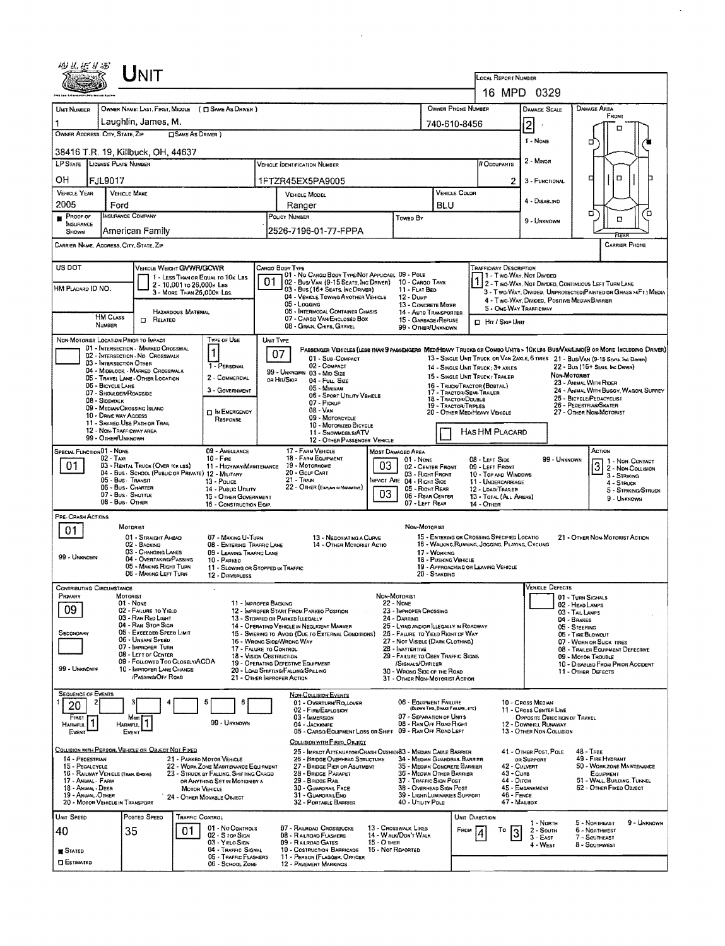| 相互后升起                                                  | UNIT                                                                    |                                                                                              |                                                                                                                      |                                                                                                                                                                                                                                                 |                                                                                                                                               |                                                           |                                                                                                                                                                 |                                                  |                                                                 |                                                         |                                                                                                                                                                                                                   |  |  |  |
|--------------------------------------------------------|-------------------------------------------------------------------------|----------------------------------------------------------------------------------------------|----------------------------------------------------------------------------------------------------------------------|-------------------------------------------------------------------------------------------------------------------------------------------------------------------------------------------------------------------------------------------------|-----------------------------------------------------------------------------------------------------------------------------------------------|-----------------------------------------------------------|-----------------------------------------------------------------------------------------------------------------------------------------------------------------|--------------------------------------------------|-----------------------------------------------------------------|---------------------------------------------------------|-------------------------------------------------------------------------------------------------------------------------------------------------------------------------------------------------------------------|--|--|--|
|                                                        |                                                                         |                                                                                              |                                                                                                                      |                                                                                                                                                                                                                                                 | LOCAL REPORT NUMBER<br>16 MPD 0329                                                                                                            |                                                           |                                                                                                                                                                 |                                                  |                                                                 |                                                         |                                                                                                                                                                                                                   |  |  |  |
| UNIT NUMBER                                            |                                                                         | OWNER NAME: LAST, FIRST, MIDDLE ( C SAME AS DRIVER )                                         |                                                                                                                      | OWNER PHONE NUMBER                                                                                                                                                                                                                              |                                                                                                                                               | DAMAGE SCALE                                              | <b>DAMAGE AREA</b>                                                                                                                                              |                                                  |                                                                 |                                                         |                                                                                                                                                                                                                   |  |  |  |
|                                                        | Laughlin, James, M.                                                     |                                                                                              |                                                                                                                      |                                                                                                                                                                                                                                                 |                                                                                                                                               |                                                           |                                                                                                                                                                 | 740-610-8456                                     |                                                                 | $\overline{\mathbf{2}}$                                 | FRONT                                                                                                                                                                                                             |  |  |  |
| OWNER ADDRESS: CITY, STATE, ZIP                        |                                                                         | <b>CISAME AS DRIVER</b> )                                                                    |                                                                                                                      |                                                                                                                                                                                                                                                 | 1 - NONE                                                                                                                                      | п<br>□                                                    |                                                                                                                                                                 |                                                  |                                                                 |                                                         |                                                                                                                                                                                                                   |  |  |  |
| 38416 T.R. 19, Killbuck, OH, 44637                     |                                                                         |                                                                                              |                                                                                                                      |                                                                                                                                                                                                                                                 |                                                                                                                                               |                                                           |                                                                                                                                                                 |                                                  |                                                                 |                                                         |                                                                                                                                                                                                                   |  |  |  |
| LP STATE LICENSE PLATE NUMBER                          |                                                                         |                                                                                              |                                                                                                                      | <b>VEHICLE IDENTIFICATION NUMBER</b>                                                                                                                                                                                                            |                                                                                                                                               |                                                           |                                                                                                                                                                 |                                                  | # Occupants                                                     | 2 - MINOR                                               |                                                                                                                                                                                                                   |  |  |  |
| он<br>FJL9017                                          |                                                                         |                                                                                              |                                                                                                                      | 1FTZR45EX5PA9005                                                                                                                                                                                                                                |                                                                                                                                               |                                                           |                                                                                                                                                                 |                                                  |                                                                 | 3 - FUNCTIONAL                                          | $\Box$<br>о                                                                                                                                                                                                       |  |  |  |
| <b>VEHICLE YEAR</b><br>2005                            | <b>VEHICLE MAKE</b><br>Ford                                             |                                                                                              | <b>VEHICLE MODEL</b><br>Ranger                                                                                       |                                                                                                                                                                                                                                                 |                                                                                                                                               |                                                           | VEHICLE COLOR<br>BLU                                                                                                                                            |                                                  |                                                                 | 4 - DISABLIND                                           |                                                                                                                                                                                                                   |  |  |  |
| Proof of<br>INSURANCE                                  | <b>INSURANCE COMPANY</b>                                                |                                                                                              | POLICY NUMBER                                                                                                        |                                                                                                                                                                                                                                                 |                                                                                                                                               | Toweo By                                                  |                                                                                                                                                                 |                                                  |                                                                 | 9 - UNKNOWN                                             | ο<br>ά<br>о                                                                                                                                                                                                       |  |  |  |
| SHOWN                                                  | American Family                                                         |                                                                                              |                                                                                                                      | 2526-7196-01-77-FPPA                                                                                                                                                                                                                            |                                                                                                                                               |                                                           |                                                                                                                                                                 |                                                  |                                                                 |                                                         |                                                                                                                                                                                                                   |  |  |  |
| CARRIER NAME, ADDRESS, CITY, STATE, ZIP                |                                                                         |                                                                                              |                                                                                                                      |                                                                                                                                                                                                                                                 |                                                                                                                                               |                                                           |                                                                                                                                                                 |                                                  |                                                                 |                                                         | <b>CARRIER PHONE</b>                                                                                                                                                                                              |  |  |  |
| US DOT                                                 |                                                                         | VEHICLE WEIGHT GVWR/GCWR                                                                     | CARGO BODY TYPE                                                                                                      | 01 - No CARGO BODY TYPE/NOT APPLICABL 09 - POLE                                                                                                                                                                                                 |                                                                                                                                               |                                                           |                                                                                                                                                                 |                                                  | TRAFFICWAY DESCRIPTION<br>1 - Two Way, Not Divided              |                                                         |                                                                                                                                                                                                                   |  |  |  |
| HM PLACARD ID NO.                                      |                                                                         | 1 - LESS THAN OR EQUAL TO 10K LBS<br>2 - 10,001 to 26,000k Las<br>3 - MORE THAN 26.000K LBS. | 01                                                                                                                   | 02 - Bus/Van (9-15 Seats, Inc Driver)<br>03 - Bus (16+ SEATS, INC DRIVER)                                                                                                                                                                       |                                                                                                                                               | 10 - Cargo Tank<br>11 - FLAT BED                          |                                                                                                                                                                 |                                                  |                                                                 |                                                         | 2 - T WO-WAY, NOT DIVIDED, CONTINUOUS LEFT TURN LANE<br>3 - T WO-WAY, DIVIDED, UNPROTECTED (PAINTED OR GRASS >4FT.) MEDIA                                                                                         |  |  |  |
|                                                        |                                                                         |                                                                                              |                                                                                                                      | 04 - VEHICLE TOWING ANOTHER VEHICLE<br>05 - Logging                                                                                                                                                                                             |                                                                                                                                               | 12 - Duwe<br><b>13 - CONCRETE MIXER</b>                   |                                                                                                                                                                 |                                                  | 5 - ONE-WAY TRAFFICWAY                                          | 4 - Two-Way, Divided, Positive MediaN Barrier           |                                                                                                                                                                                                                   |  |  |  |
| <b>HM CLASS</b><br>NUMBER                              | RELATED<br>$\Box$                                                       | <b>HAZARDOUS MATERIAL</b>                                                                    |                                                                                                                      | 06 - INTERMODAL CONTAINER CHASIS<br>07 - CARGO VAN ENCLOSEO BOX<br>08 - Grain, Chips, Gravel                                                                                                                                                    |                                                                                                                                               | 14 - AUTO TRANSPORTER<br>15 - GARBAGE / REFUSE            |                                                                                                                                                                 |                                                  | <b>D</b> Hn / Skip Unit                                         |                                                         |                                                                                                                                                                                                                   |  |  |  |
| NON-MOTORIST LOCATION PRIOR TO IMPACT                  |                                                                         | TYPE OF USE                                                                                  | UNIT TYPE                                                                                                            |                                                                                                                                                                                                                                                 |                                                                                                                                               | 99 - OTHER/UNKNOWN                                        |                                                                                                                                                                 |                                                  |                                                                 |                                                         |                                                                                                                                                                                                                   |  |  |  |
|                                                        | 01 - INTERSECTION - MARKED CROSSWAL<br>02 - INTERSECTION - NO CROSSWALK | 1                                                                                            | 07                                                                                                                   | 01 - Sun COMPACT                                                                                                                                                                                                                                |                                                                                                                                               |                                                           |                                                                                                                                                                 |                                                  |                                                                 |                                                         | PASSENGER VEHICLES (LESS THAN 9 PASSENGERS MEDIMEANY TRUCKS OR COMSO UNITS > 10KLBS BUS/AN/LIMO(9 OR MORE INCLUDING DRIVER)<br>13 - SINGLE UNIT TRUCK OR VAN 2AXLE, 6 TIRES 21 - BUS/VAN (9-15 SEATS, INC DRIVER) |  |  |  |
|                                                        | 03 - INTERSECTION OTHER<br>04 - MIDBLOCK - MARKED CROSSWALK             | 1 - PERSONAL                                                                                 |                                                                                                                      | 02 - COMPACT<br>99 - UNKNOWN 03 - MID SIZE                                                                                                                                                                                                      |                                                                                                                                               |                                                           |                                                                                                                                                                 |                                                  | 14 - SINGLE UNIT TRUCK: 3+ AXLES                                |                                                         | 22 - Bus (16+ Seats, Inc Driver)<br>NON-MOTORIST                                                                                                                                                                  |  |  |  |
| 06 - BICYCLE LANE                                      | 05 - TRAVEL LANE - OTHER LOCATION<br>07 - SHOULDER/ROADSIDE             | 2 - COMMERCIAL<br>3 - GOVERNMENT                                                             | DR HIT/SKIP                                                                                                          |                                                                                                                                                                                                                                                 | 15 - SINGLE LINIT TRUCK / TRAILER<br>16 - TRUCK/TRACTOR (BOSTAIL)<br>17 - TRACTOR/SEMI-TRAILER<br>18 - TRACTOR/DOUBLE<br>19 - TRACTOR/TRIPLES |                                                           |                                                                                                                                                                 |                                                  | 23 - ANIMAL WITH RIDER<br>24 - ANIMAL WITH BUGGY, WAGON, SURREY |                                                         |                                                                                                                                                                                                                   |  |  |  |
| 08 - SIDEWALK                                          | 09 - MEDIAN/CROSSING ISLAND                                             |                                                                                              |                                                                                                                      |                                                                                                                                                                                                                                                 |                                                                                                                                               |                                                           |                                                                                                                                                                 |                                                  | 25 - BICYCLE/PEDACYCLIST<br>26 - PEDESTRIAN SKATER              |                                                         |                                                                                                                                                                                                                   |  |  |  |
|                                                        | 10 - DRIVE WAY ACCESS<br>11 - SHAREO-USE PATH OR TRAIL                  | IN EMERGENCY<br>RESPONSE                                                                     | 08 - Van<br>09 - MOTORCYCLE<br>10 - MOTORIZED BICYCLE                                                                |                                                                                                                                                                                                                                                 |                                                                                                                                               |                                                           |                                                                                                                                                                 |                                                  | 20 - OTHER MEDIHEAVY VEHICLE                                    |                                                         | 27 - OTHER NON-MOTORIST                                                                                                                                                                                           |  |  |  |
| 99 - OTHER/UNKNOWN                                     | 12 - NON-TRAFFICWAY AREA                                                |                                                                                              |                                                                                                                      | 11 - SNOWMOBLE/ATV<br>12 - OTHER PASSENGER VEHICLE                                                                                                                                                                                              |                                                                                                                                               | HAS HM PLACARD                                            |                                                                                                                                                                 |                                                  |                                                                 |                                                         |                                                                                                                                                                                                                   |  |  |  |
| SPECIAL FUNCTION 01 - NONE<br>02 - Taxi                |                                                                         | 09 - AMBULANCE<br>$10 - F_{IRE}$                                                             |                                                                                                                      | 17 - FARM VEHICLE<br>MOST DAMAGED AREA<br>18 - FARM EQUIPMENT<br>01 - Nove                                                                                                                                                                      |                                                                                                                                               |                                                           |                                                                                                                                                                 |                                                  |                                                                 | 99 - UNKNOWN                                            | ACTION                                                                                                                                                                                                            |  |  |  |
| 01.                                                    | 03 - RENTAL TRUCK (OVER 10K LSS)                                        | 11 - HIGHWAY/MAINTENANCE<br>04 - BUS - SCHOOL (PUBLIC OR PRIVATE) 12 - MILITARY              | 03<br>19 - MOTORHOME<br>20 - GOLF CART<br>21 - Tran<br>MPACT ARE 04 - RIGHT SIDE<br>22 - OTHER (EXPLAN IN NARRATIVE) |                                                                                                                                                                                                                                                 |                                                                                                                                               |                                                           | 08 - LEFT SIDE<br>02 - CENTER FRONT<br>09 - LEFT FRONT<br>03 - RIGHT FRONT<br>10 - Top and Windows<br>11 - UNOERCARRIAGE<br>05 - RIGHT REAR<br>12 - LOAO/TRARER |                                                  |                                                                 |                                                         | 1 - Non Contact<br>3 2 - NON CONTACT<br>3 - STRIKING                                                                                                                                                              |  |  |  |
|                                                        | 05 - Bus Transit<br>06 - Bus - Charter                                  | $13 -$ Pouce<br>14 - PUBLIC UTILITY                                                          |                                                                                                                      |                                                                                                                                                                                                                                                 |                                                                                                                                               |                                                           |                                                                                                                                                                 |                                                  |                                                                 |                                                         | 4 - STRUCK<br>5 - Strikeng/Struck                                                                                                                                                                                 |  |  |  |
|                                                        | 07 - Bus - Shuttle<br>08 - Bus - OTHER                                  | 15 - OTHER GOVERNMENT<br>16 - CONSTRUCTION EQIP.                                             |                                                                                                                      | 03<br>06 - REAR CENTER<br>07 - LEFT REAR                                                                                                                                                                                                        |                                                                                                                                               |                                                           |                                                                                                                                                                 |                                                  | 13 - TOTAL (ALL AREAS)<br>$14 -$ OTHER                          |                                                         | 9 - UNKNOWN                                                                                                                                                                                                       |  |  |  |
| PRE-CRASH ACTIONS                                      | MOTORIST                                                                |                                                                                              |                                                                                                                      |                                                                                                                                                                                                                                                 |                                                                                                                                               | Non-MOTORIST                                              |                                                                                                                                                                 |                                                  |                                                                 |                                                         |                                                                                                                                                                                                                   |  |  |  |
| 01                                                     | 01 - STRAIGHT AHEAD                                                     | 07 - MAKING U-TURN                                                                           |                                                                                                                      | 13 - Negotiating a Curve<br>14 - OTHER MOTORIST ACTIO                                                                                                                                                                                           |                                                                                                                                               |                                                           |                                                                                                                                                                 |                                                  | 15 - ENTERING OR CROSSING SPECIFIED LOCATIO                     |                                                         | 21 - OTHER NON-MOTORIST ACTION                                                                                                                                                                                    |  |  |  |
| 99 - UNKNOWN                                           | 02 - BACKIND<br>03 - CHANGING LANES<br>04 - OVERTAKING/PASSING          | 08 - ENTERING TRAFFIC LANE<br>09 - LEAVING TRAFFIC LANE<br>10 - PARKED                       |                                                                                                                      |                                                                                                                                                                                                                                                 | 17 - WORKING                                                                                                                                  |                                                           |                                                                                                                                                                 | 16 - WALKING, RUNNING, JOGGING, PLAYING, CYCLING |                                                                 |                                                         |                                                                                                                                                                                                                   |  |  |  |
|                                                        | 05 - MAKING RIGHT TURN<br>06 - MAKING LEFT TURN                         | 11 - SLOWING OR STOPPED IN TRAFFIC<br>12 - DRIVERLESS                                        |                                                                                                                      |                                                                                                                                                                                                                                                 | 18 - Pusking Venicle<br>19 - APPROACHING OR LEAVING VEHICLE<br>20 - STANDING                                                                  |                                                           |                                                                                                                                                                 |                                                  |                                                                 |                                                         |                                                                                                                                                                                                                   |  |  |  |
| <b>CONTRIBUTING CIRCUMSTANCE</b>                       |                                                                         |                                                                                              |                                                                                                                      |                                                                                                                                                                                                                                                 |                                                                                                                                               |                                                           |                                                                                                                                                                 |                                                  |                                                                 | <b>VEHICLE DEFECTS</b>                                  |                                                                                                                                                                                                                   |  |  |  |
| Primary<br>09                                          | MOTORIST<br>01 - None<br>02 - FAILURE TO YIELD                          |                                                                                              | 11 - IMPROPER BACKING                                                                                                | NON-MOTORIST<br>22 - None                                                                                                                                                                                                                       |                                                                                                                                               |                                                           |                                                                                                                                                                 |                                                  |                                                                 |                                                         | 01 - TURN SIGNALS<br>02 - HEAD LAMPS                                                                                                                                                                              |  |  |  |
|                                                        | 03 - RAN RED LIGHT<br>04 - RAN STOP SIGN                                |                                                                                              |                                                                                                                      | 12 - IMPROPER START FROM PARKEO POSITION<br>23 - IMPROPER CROSSING<br>13 - STOPPED OR PARKED LLEGALLY<br>24 - DARTING                                                                                                                           |                                                                                                                                               |                                                           |                                                                                                                                                                 |                                                  |                                                                 | 03 - TALLAMPS<br>04 - BRAKES                            |                                                                                                                                                                                                                   |  |  |  |
| SECONDARY                                              | 05 - Exceeped Speed Limit<br>06 - Unsafe Speed                          |                                                                                              |                                                                                                                      | 14 - Operating Vehicle in Negligent MANNER<br>25 - LYING ANDROR LLEGALLY IN ROADWAY<br>15 - Swering to Avoid (DUE to External Conditions)<br>26 - FALURE TO YIELD RIGHT OF WAY<br>16 - WRONG SIDE/WRONG WAY<br>27 - NOT VISIBLE (DARK CLOTHING) |                                                                                                                                               |                                                           |                                                                                                                                                                 |                                                  |                                                                 |                                                         | 05 - STEERING<br>06 - TIRE BLOWOUT<br>07 - WORN OR SLICK TIRES                                                                                                                                                    |  |  |  |
|                                                        | 07 - IMPROPER TURN<br>08 - LEFT OF CENTER                               |                                                                                              | 17 - FALURE TO CONTROL<br>18 - Vision Obstruction                                                                    | 28 - INATTENTIVE<br>29 - FAILURE TO OBEY TRAFFIC SIGNS                                                                                                                                                                                          |                                                                                                                                               |                                                           |                                                                                                                                                                 |                                                  |                                                                 |                                                         | 08 - TRAILER EQUIPMENT DEFECTIVE<br>09 - MOTOR TROUBLE                                                                                                                                                            |  |  |  |
| 99 - UNKNOWN                                           | 09 - FOLLOWED TOO CLOSELY/ACDA<br>10 - IMPROPER LANE CHANGE             |                                                                                              |                                                                                                                      | 19 - OPERATING DEFECTIVE EQUIPMENT<br>/SIGNALS/OFFICER<br>20 - LOAD SHIFTING/FALLING/SPILLING<br>30 - WRONG SIDE OF THE ROAD                                                                                                                    |                                                                                                                                               |                                                           |                                                                                                                                                                 |                                                  |                                                                 | 10 - Disableo From Prior Accident<br>11 - OTHER DEFECTS |                                                                                                                                                                                                                   |  |  |  |
| <b>SEQUENCE OF EVENTS</b>                              | PASSING/OFF ROAD                                                        |                                                                                              | 21 - OTHER IMPROPER ACTION                                                                                           |                                                                                                                                                                                                                                                 |                                                                                                                                               | 31 - OTHER NON-MOTORIST ACTION                            |                                                                                                                                                                 |                                                  |                                                                 |                                                         |                                                                                                                                                                                                                   |  |  |  |
| 20                                                     |                                                                         | 5<br>6                                                                                       |                                                                                                                      | <b>NON-COLLISION EVENTS</b><br>01 - OVERTURN/ROLLOVER<br>02 - FIRE/EXPLOSION                                                                                                                                                                    |                                                                                                                                               | 06 - EQUIPMENT FAILURE                                    | (BLOWN TIRE, BRAKE FAILURE, ETC)                                                                                                                                |                                                  |                                                                 | 10 - Cross Median<br>11 - CROSS CENTER LINE             |                                                                                                                                                                                                                   |  |  |  |
| FIRST<br>HARMFUL                                       | Mast<br>HARMFUL                                                         | 99 - UNKNOWN                                                                                 |                                                                                                                      | 03 - IMMERSION<br>04 - JACKKNIFE                                                                                                                                                                                                                |                                                                                                                                               | 07 - SEPARATION OF UNITS<br>08 - RAN OFF ROAD RIGHT       |                                                                                                                                                                 |                                                  |                                                                 | OPPOSITE DIRECTION OF TRAVEL<br>12 - DOWNHEL RUNAWAY    |                                                                                                                                                                                                                   |  |  |  |
| EVENT                                                  | EVENT                                                                   |                                                                                              |                                                                                                                      | 05 - CARGO/EQUIPMENT LOSS OR SHIFT 09 - RAN OFF ROAD LEFT<br>COLLISION WITH FIXED, OBJECT                                                                                                                                                       |                                                                                                                                               |                                                           |                                                                                                                                                                 |                                                  |                                                                 | 13 - OTHER NON-COLLISION                                |                                                                                                                                                                                                                   |  |  |  |
| 14 - Pedestrian                                        | COLLISION WITH PERSON, VEHICLE OF OBJECT NOT FIXED                      | 21 - PARKED MOTOR VEHICLE                                                                    |                                                                                                                      | 25 - IMPACT ATTENUATOR/CRASH CUSHION33 - MEDIAN CABLE BARRIER<br>26 - BRIDGE OVERHEAD STRUCTURE                                                                                                                                                 |                                                                                                                                               | 34 - Median Guardran, Barrier                             |                                                                                                                                                                 |                                                  |                                                                 | 41 - O'NER POST, POLE<br>OR SUPPORT                     | 48 - TREE<br>49 - FIRE HYDRANT                                                                                                                                                                                    |  |  |  |
| 15 - PEOALCYCLE<br>16 - RAILWAY VEHICLE (TRAN, ENGINE) |                                                                         | 22 - WORK ZONE MADITENANCE EQUIPMENT<br>23 - STRUCK BY FALLING, SHIFTING CARGO               |                                                                                                                      | 27 - BRIDGE PIER OR ABUTMENT<br>28 - BRIDGE PARAPET                                                                                                                                                                                             |                                                                                                                                               | 35 - Median Concrete Barrier<br>36 - MEDIAN OTHER BARRIER |                                                                                                                                                                 |                                                  | 42 - CULVERT<br>43 - Cuns                                       |                                                         | 50 - WORK ZONE MAINTENANCE<br>EQUIPMENT                                                                                                                                                                           |  |  |  |
| 17 - Animal - Farin<br>18 - ANMAL - DEER               |                                                                         | OR ANYTHING SET IN MOTION BY A<br><b>MOTOR VEHICLE</b>                                       |                                                                                                                      | 29 - BRIDGE RAIL<br>30 - GUARDRAIL FACE                                                                                                                                                                                                         |                                                                                                                                               | 37 - TRAFFIC SIGN POST<br>38 - OVERHEAD SIGN POST         |                                                                                                                                                                 |                                                  | 44 - Опсн                                                       | 45 - EMBANKMENT                                         | 51 - WALL, BURDING, TUNNEL<br>52 - Отнея Fixed Object                                                                                                                                                             |  |  |  |
| 19 - ANMAL-OTHER<br>20 - MOTOR VEHICLE IN TRANSPORT    |                                                                         | 24 - OTHER MOVABLE OBJECT                                                                    |                                                                                                                      | 31 - GUARDRAILEND<br>32 - PORTABLE BARRIER                                                                                                                                                                                                      |                                                                                                                                               | 39 - LIGHT/LUMINARIES SUPPORT<br>40 - UTILITY POLE        |                                                                                                                                                                 |                                                  | 46 - Fence<br>47 - MAILBOX                                      |                                                         |                                                                                                                                                                                                                   |  |  |  |
| UNIT SPEED                                             | POSTED SPEED                                                            | TRAFFIC CONTROL                                                                              |                                                                                                                      |                                                                                                                                                                                                                                                 |                                                                                                                                               |                                                           |                                                                                                                                                                 | UNIT DIRECTION                                   |                                                                 | 1 - North                                               | 9 - Unknown<br>5 - Northeast                                                                                                                                                                                      |  |  |  |
| 40                                                     | 35                                                                      | 01 - No CONTROLS<br>01<br>02 - S TOP SIGN<br>03 - YIELO SIGN                                 |                                                                                                                      | 07 - RAILROAO CROSSBUCKS<br>08 - RAILROAD FLASHERS                                                                                                                                                                                              | 13 - Crosswalx Lines                                                                                                                          | 14 - WALK/DON'T WALK                                      |                                                                                                                                                                 | FROM                                             | Τо<br>3                                                         | $2 -$ South<br>$3 - E$ AST                              | 6 - NORTHWEST<br>7 - SOUTHEAST                                                                                                                                                                                    |  |  |  |
| STATED                                                 |                                                                         | 04 - TRAFFIC SIGNAL<br>05 - TRAFFIC FLASHERS                                                 |                                                                                                                      | 09 - RAILROAD GATES<br>$15 - O$ THER<br>16 - Not Reported<br>10 - COSTRUCTION BARRICADE<br>11 - PERSON (FLAGGER, OFFICER                                                                                                                        |                                                                                                                                               |                                                           |                                                                                                                                                                 |                                                  | 4 - West                                                        |                                                         | 8 - SOUTHWEST                                                                                                                                                                                                     |  |  |  |
| <b>CI ESTIMATED</b>                                    |                                                                         | 06 - School Zone                                                                             |                                                                                                                      | 12 - PAVEMENT MARKINGS                                                                                                                                                                                                                          |                                                                                                                                               |                                                           |                                                                                                                                                                 |                                                  |                                                                 |                                                         |                                                                                                                                                                                                                   |  |  |  |

 $\sim 10^{-1}$ 

 $\bar{\mathcal{A}}$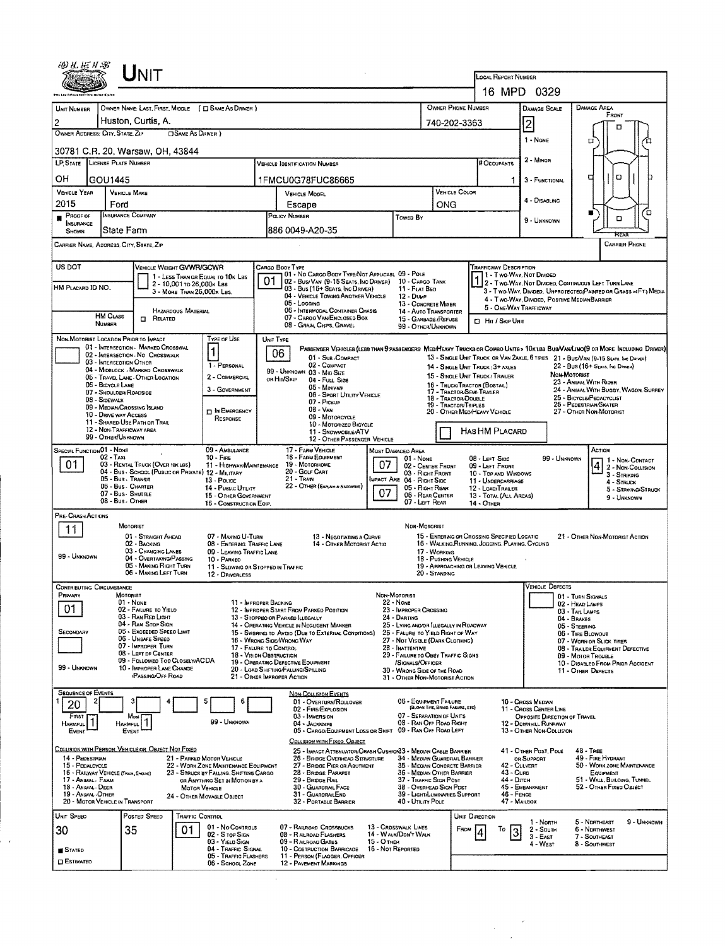|                                                                               |                                          | UNIT                                                                            |                                                                                |    |                                                                                                                                            |                                                      |                                                                             |                                                                                                                                                           |                                                        |                                                                   |  |  |  |  |
|-------------------------------------------------------------------------------|------------------------------------------|---------------------------------------------------------------------------------|--------------------------------------------------------------------------------|----|--------------------------------------------------------------------------------------------------------------------------------------------|------------------------------------------------------|-----------------------------------------------------------------------------|-----------------------------------------------------------------------------------------------------------------------------------------------------------|--------------------------------------------------------|-------------------------------------------------------------------|--|--|--|--|
|                                                                               |                                          |                                                                                 |                                                                                |    |                                                                                                                                            | LOCAL REPORT NUMBER                                  |                                                                             |                                                                                                                                                           |                                                        |                                                                   |  |  |  |  |
|                                                                               |                                          |                                                                                 |                                                                                |    |                                                                                                                                            |                                                      | 16 MPD 0329                                                                 |                                                                                                                                                           |                                                        |                                                                   |  |  |  |  |
| UNIT NUMBER<br>$\overline{c}$                                                 |                                          | OWNER NAME: LAST, FIRST, MIDDLE ( $\Box$ SAME AS DRIVER )<br>Huston, Curtis, A. |                                                                                |    |                                                                                                                                            |                                                      | OWNER PHONE NUMBER<br>740-202-3363                                          |                                                                                                                                                           | <b>DAMAGE SCALE</b>                                    | DAMAGE AREA<br>FRONT                                              |  |  |  |  |
| OWNER ADDRESS: CITY, STATE, ZIP                                               |                                          | OSAME AS DRIVER)                                                                |                                                                                |    |                                                                                                                                            |                                                      |                                                                             |                                                                                                                                                           | $\overline{c}$                                         |                                                                   |  |  |  |  |
|                                                                               |                                          | 30781 C.R. 20, Warsaw, OH, 43844                                                |                                                                                |    |                                                                                                                                            | 1 - NONE                                             | □                                                                           |                                                                                                                                                           |                                                        |                                                                   |  |  |  |  |
| <b>LP STATE</b> LICENSE PLATE NUMBER                                          |                                          |                                                                                 |                                                                                |    |                                                                                                                                            | # Occupants                                          | 2 - MINOR                                                                   |                                                                                                                                                           |                                                        |                                                                   |  |  |  |  |
| OН                                                                            | GOU1445                                  |                                                                                 |                                                                                |    | 1FMCU0G78FUC86665                                                                                                                          |                                                      |                                                                             | 1.                                                                                                                                                        | 3 FUNCTIONAL                                           | O<br>₫                                                            |  |  |  |  |
| VEHICLE YEAR                                                                  |                                          | <b>VEHICLE MAKE</b>                                                             |                                                                                |    | <b>VEHICLE MODEL</b>                                                                                                                       |                                                      | VEHICLE COLOR                                                               |                                                                                                                                                           | 4 - DISABLING                                          |                                                                   |  |  |  |  |
| 2015<br>PROOF OF                                                              | Ford                                     | INSURANCE COMPANY                                                               |                                                                                |    | Escape<br>POLICY NUMBER                                                                                                                    | <b>TOWED BY</b>                                      | ONG                                                                         |                                                                                                                                                           |                                                        | ۳<br>□<br>O                                                       |  |  |  |  |
| INSURANCE<br>SHOWN                                                            | State Farm                               |                                                                                 |                                                                                |    | 886 0049-A20-35                                                                                                                            |                                                      |                                                                             |                                                                                                                                                           | 9 - Unknown                                            |                                                                   |  |  |  |  |
| CARRIER NAME, ADDRESS, CITY, STATE, ZIP                                       |                                          |                                                                                 |                                                                                |    |                                                                                                                                            |                                                      |                                                                             |                                                                                                                                                           |                                                        | <b>CARRIER PHONE</b>                                              |  |  |  |  |
| US DOT                                                                        |                                          | <b>VEHICLE WEIGHT GVWR/GCWR</b>                                                 |                                                                                |    | CARGO BOOY TYPE                                                                                                                            |                                                      |                                                                             | <b>TRAFFICWAY DESCRIPTION</b>                                                                                                                             |                                                        |                                                                   |  |  |  |  |
|                                                                               |                                          | 2 - 10,001 то 26,000к Lss                                                       | 1 - LESS THAN OR EQUAL TO 10K LBS                                              | 01 | 01 - No CARGO BODY TYPE/NOT APPLICABL 09 - POLE<br>02 - Busi Van (9-15 Seats, Inc Driver)                                                  | 10 - Cargo Tank                                      |                                                                             | 1 - Two Way, Not Divideo                                                                                                                                  |                                                        | 1 2 - Two-Way, Not Divided, Continuous Left Turn Lane             |  |  |  |  |
| HM PLACARD ID NO.                                                             |                                          | 3 - MORE THAN 26,000K LBS.                                                      |                                                                                |    | 03 - Bus (16+ Seats, Inc Driver)<br>04 - VEHICLE TOWING ANOTHER VEHICLE<br>05 - Logging                                                    | 11 - FLAT BED<br>12 - Duwe                           |                                                                             |                                                                                                                                                           | 4 - Two-Way, Divideo, Positive Median Barrier          | 3 - Two-WAY, Divided, UNPROTECTED (PAINTED OR GRASS >4FT.) MEDIA  |  |  |  |  |
|                                                                               | <b>HM CLASS</b>                          | HAZARDOUS MATERIAL<br><b>D</b> RELATED                                          |                                                                                |    | 06 - INTERMODAL CONTAINER CHASIS<br>07 - CARGO VAN ENCLOSED BOX                                                                            | 13 - CONCRETE MIXER<br>15 - GARBAGE /REFUSE          | 14 - AUTO TRANSPORTER                                                       | 5 - ONE-WAY TRAFFICWAY                                                                                                                                    |                                                        |                                                                   |  |  |  |  |
|                                                                               | NUMBER                                   |                                                                                 |                                                                                |    | 08 - GRAIN, CHPS, GRAVEL                                                                                                                   | 99 - OTHER/UNKNOWN                                   |                                                                             | <b>CI HIT / SKIP UNIT</b>                                                                                                                                 |                                                        |                                                                   |  |  |  |  |
| NON-MOTORIST LOCATION PRIOR TO IMPACT                                         |                                          | 01 - INTERSECTION MARKED CROSSWAL                                               | TYPE OF USE<br>1                                                               |    | UNIT TYPE<br>PASSENGER VEHICLES (LESS THAN 9 PASSENGERS MEDIMEANY TRUCKS OR COMBO UNITS > 10K LBS BUS/VAN/LIMO(9 OR MORE INCLUDING DRIVER) |                                                      |                                                                             |                                                                                                                                                           |                                                        |                                                                   |  |  |  |  |
|                                                                               | 03 - INTERSECTION OTHER                  | 02 - INTERSECTION NO CROSSWALK<br>04 - MIDBLOCK - MARKED CROSSWALK              | 1 - PERSONAL                                                                   |    | 06<br>01 - Sub-COMPACT<br>02 - COMPACT                                                                                                     |                                                      |                                                                             | 13 - SINGLE UNIT TRUCK OR VAN ZAXLE, 6 TIRES 21 - BUS/VAN (9-15 SEATS, Inc DAVER)<br>22 - BUS (16+ SEATA, INC DRIVER)<br>14 - SINGLE UNIT TRUCK: 3+ AXLES |                                                        |                                                                   |  |  |  |  |
|                                                                               | 06 - BICYCLE LANE                        | 05 - TRAVEL LANE - OTHER LOCATION                                               | 2 - COMMERCIAL                                                                 |    | 99 - Unknown 03 - Mio Size<br>OR HIT/SKIP<br>04 - FULL SIZE                                                                                |                                                      | 16 - TRUCK/TRACTOR (BOSTAIL)                                                | 15 - SINGLE UNIT TRUCK / TRAILER                                                                                                                          | Non-Motorist                                           | 23 - ANIMAL WITH RIDER                                            |  |  |  |  |
|                                                                               | 07 - SHOULDER/ROADSIDE<br>08 - Sidewalk  |                                                                                 | 3 - GOVERNMENT                                                                 |    | 05 - Manyan<br>06 - SPORT UTILITY VEHICLE<br>07 - Pickup                                                                                   |                                                      | 17 - TRACTOR/SEMI-TRAILER<br>18 - TRACTOR/DOUBLE                            |                                                                                                                                                           |                                                        | 24 - ANIMAL WITH BUGGY, WAGON, SURREY<br>25 - BICYCLE/PEDACYCLIST |  |  |  |  |
| 09 - MEDIAN/CROSSING ISLAND<br><b>D</b> IN EMERGENCY<br>10 - DRIVE WAY ACCESS |                                          |                                                                                 |                                                                                |    | $08 - V_{AN}$<br>09 - Motoncycle                                                                                                           |                                                      | 19 - TRACTOR/TRIPLES                                                        | 20 - OTHER MEDIHEAVY VEHICLE                                                                                                                              | 26 - PEDESTRIAN/SKATER<br>27 - OTHER NON-MOTORIST      |                                                                   |  |  |  |  |
|                                                                               | 12 - NON-TRAFFICWAY AREA                 | 11 - SHARED USE PATH OR TRAIL                                                   | RESPONSE                                                                       |    | 10 - MOTORIZED BICYCLE<br>11 - SNOWMOBILE/ATV                                                                                              |                                                      |                                                                             | HAS HM PLACARD                                                                                                                                            |                                                        |                                                                   |  |  |  |  |
| SPECIAL FUNCTION 01 - NONE                                                    | 99 - OTHER/UNKNOWN                       |                                                                                 | 09 - AMBULANCE                                                                 |    | 12 - OTHER PASSENGER VEHICLE<br>17 - FARM VEHICLE                                                                                          | <b>MOST DAMAGED AREA</b>                             |                                                                             |                                                                                                                                                           |                                                        | ACTION                                                            |  |  |  |  |
| 01                                                                            | 02 - TAXI                                | 03 - RENTAL TRUCK (OVER 10KLBS)                                                 | $10 -$ Fire<br>11 - HIGHWAY/MAINTENANCE                                        |    | 18 - FARM EQUIPMENT<br>07<br>19 - Мотовноме                                                                                                | 01 - NONE<br>02 - CENTER FRONT                       |                                                                             | 08 - LEFT SIDE<br>09 - LEFT FRONT                                                                                                                         | 99 - Unknown                                           | 1 1 - Non-Contact<br>2 - Non-Collision                            |  |  |  |  |
|                                                                               | 05 - Bus - Transit                       | 04 - Bus - SCHOOL (PUBLIC OR PRIVATE) 12 - MILITARY                             | 13 - POLICE                                                                    |    | 20 - GOLF CART<br>$21 -$ Tran                                                                                                              | 03 - Right Front<br>MPACT ARE 04 - RIGHT SIDE        |                                                                             | 10 - TOP AND WINDOWS<br>11 - UNDERCARRIAGE                                                                                                                | 3 - STRIKING<br>4 - STRUCK                             |                                                                   |  |  |  |  |
|                                                                               | 06 - Bus - CHARTER<br>07 - Bus - SHUTTLE |                                                                                 | 14 - Pusuc Ununy<br>15 - OTHER GOVERNMENT                                      |    | 22 - OTHER (EXPLAN IN NARRATIVE)<br>07                                                                                                     | 05 - RIGHT REAR<br>06 - REAR CENTER                  |                                                                             | 12 - LOAD/TRAILER<br>13 - TOTAL (ALL AREAS)                                                                                                               | 5 - STRIKING/STRUCK<br>9 - UNKNOWN                     |                                                                   |  |  |  |  |
| PRE-CRASH ACTIONS                                                             | 08 - Bus - Other                         |                                                                                 | 16 - CONSTRUCTION EOIP.                                                        |    |                                                                                                                                            | 07 - LEFT REAR                                       |                                                                             | 14 - OTHER                                                                                                                                                |                                                        |                                                                   |  |  |  |  |
| 11                                                                            |                                          | MOTORIST                                                                        |                                                                                |    |                                                                                                                                            | NON MOTORIST                                         |                                                                             |                                                                                                                                                           |                                                        |                                                                   |  |  |  |  |
|                                                                               |                                          | 01 - STRAIGHT AHEAD<br>02 - BACKING<br>03 - CHANGING LANES                      | 07 - MAKING U-TURN<br>08 - ENTERING TRAFFIC LANE                               |    | 13 - Negotiating a Curve<br>14 - OTHER MOTORIST ACTIO                                                                                      |                                                      |                                                                             | 15 - ENTERING OR CROSSING SPECIFIED LOCATIO<br>21 - OTHER NON-MOTORIST ACTION<br>16 - WALKING, RUNNING, JOGGING, PLAYING, CYCLING                         |                                                        |                                                                   |  |  |  |  |
| 99 - UNKNOWN                                                                  |                                          | 04 - OVERTAKING/PASSING<br>05 - MAKING RIGHT TURN                               | 09 - LEAVING TRAFFIC LANE<br>10 - PARKED<br>11 - SLOWING OR STOPPED IN TRAFFIC |    |                                                                                                                                            |                                                      | 17 - WORKING<br>18 - Pushing Vehicle                                        | 19 - APPROACHING OR LEAVING VEHICLE                                                                                                                       |                                                        |                                                                   |  |  |  |  |
|                                                                               |                                          | 06 - MAKING LEFT TURN                                                           | 12 - DRIVERLESS                                                                |    |                                                                                                                                            |                                                      | 20 - Standing                                                               |                                                                                                                                                           |                                                        |                                                                   |  |  |  |  |
| <b>CONTRIBUTING CIRCUMSTANCE</b><br>Primary                                   |                                          | MOTORIST                                                                        |                                                                                |    |                                                                                                                                            | NON-MOTORIST                                         |                                                                             |                                                                                                                                                           | VEHICLE DEFECTS                                        | 01 - TURN SIGNALS                                                 |  |  |  |  |
| 01                                                                            |                                          | $01 - None$<br>02 - FAILURE TO YIELD<br>03 - RAN RED LIGHT                      | 11 - IMPROPER BACKING                                                          |    | 12 - IMPROPER START FROM PARKED POSITION<br>13 - STOPPEO OR PARKED ILLEGALLY                                                               | 22 - None<br>23 - IMPROPER CROSSING<br>24 - DARTING  |                                                                             |                                                                                                                                                           | 02 - HEAD LAMPS<br>03 - TAIL LAMPS<br>04 - BRAKES      |                                                                   |  |  |  |  |
| <b>SECONDARY</b>                                                              |                                          | 04 - RAN STOP SIGN<br>05 - Exceeded Speed Limit                                 |                                                                                |    | 14 - OPERATING VEHICLE IN NEGLIGENT MANNER<br>15 - Swering to Avdid (Due to External Conditions)                                           |                                                      | 25 - LYING AND/OR ILLEGALLY IN ROADWAY<br>26 - FALURE TO YIELD RIGHT OF WAY |                                                                                                                                                           | 05 - STEERING<br>06 - TIRE BLOWOUT                     |                                                                   |  |  |  |  |
|                                                                               |                                          | 06 - Unsafe Speed<br>07 - IMPROPER TURN                                         |                                                                                |    | 16 - WRONG SIDE/WRONG WAY<br>17 - FALURE TO CONTROL                                                                                        | 27 - NOT VISIBLE (DARK CLOTHING)<br>28 - INATTENTIVE |                                                                             | 07 - WORN OR SLICK TIRES<br>08 - TRAILER EQUIPMENT DEFECTIVE                                                                                              |                                                        |                                                                   |  |  |  |  |
|                                                                               |                                          | 08 - LEFT OF CENTER<br>09 - FOLLOWED TOO CLOSELY/ACDA                           |                                                                                |    | 18 - Vision Oastruction<br>19 - OPERATING DEFECTIVE EQUIPMENT                                                                              | /SIGNALS/OFFICER                                     | 29 - FAILURE TO OBEY TRAFFIC SIGNS                                          |                                                                                                                                                           |                                                        | 09 - MOTOR TROUBLE<br>10 - DISABLED FROM PRIOR ACCIDENT           |  |  |  |  |
| 99 - UNKNOWN                                                                  |                                          | 10 - IMPROPER LANE CHANGE<br><b>PASSING OFF ROAD</b>                            |                                                                                |    | 20 - LOAD SHETING/FALLING/SPILLING<br>21 - OTHER IMPROPER ACTION                                                                           | 30 - WRONG SIDE OF THE ROAD                          | 31 - OTHER NON-MOTORIST ACTION                                              |                                                                                                                                                           |                                                        | 11 - OTHER DEFECTS                                                |  |  |  |  |
| <b>SEQUENCE OF EVENTS</b><br>2                                                |                                          |                                                                                 | 5<br>6                                                                         |    | <b>NON-COLLISION EVENTS</b><br>01 - OVERTURN/ROLLOVER                                                                                      |                                                      | 06 - EQUIPMENT FAILURE                                                      |                                                                                                                                                           | 10 - Cross Median                                      |                                                                   |  |  |  |  |
| 20<br>FIRST                                                                   |                                          | Most                                                                            |                                                                                |    | 02 - FIRE/EXPLOSION<br>03 - IMMERSION                                                                                                      |                                                      | (BLOWN TIRE, BRAKE FALURE, ETC)<br>07 - SEPARATION OF UNITS                 |                                                                                                                                                           | 11 - CROSS CENTER LINE<br>OPPOSITE DIRECTION OF TRAVEL |                                                                   |  |  |  |  |
| <b>HARMFUL</b><br>Event                                                       | <b>HARMFUL</b>                           | EVENT                                                                           | 99 - UNKNOWN                                                                   |    | 04 - JACKKNIFE<br>05 - CARGO/EQUIPMENT LOSS OR SHIFT 09 - RAN OFF ROAD LEFT                                                                |                                                      | 08 - Ran Off Road Right                                                     |                                                                                                                                                           | 12 - DOWNHAL RUNAWAY<br>13 - OTHER NON-COLLISION       |                                                                   |  |  |  |  |
|                                                                               |                                          | COLLISION WITH PERSON, VEHICLE OR OBJECT NOT FIXED                              |                                                                                |    | COLLISION WITH FIXED, OBJECT<br>25 - IMPACT ATTENUATOR/CRASH CUSHION33 - MEOIAN CABLE BARRIER                                              |                                                      |                                                                             |                                                                                                                                                           | 41 - OTHER POST, POLE                                  | $48 -$ TREE                                                       |  |  |  |  |
| 14 - PEDESTRIAN<br>15 - PEDALCYCLE                                            |                                          |                                                                                 | 21 - PARKED MOTOR VEHICLE<br>22 - WORK ZONE MAINTENANCE EQUIPMENT              |    | 26 - BRIOGE OVERHEAD STRUCTURE<br>27 - BRIDGE PIER OR ABUTMENT                                                                             |                                                      | 34 - Median Guardrail Barrier<br>35 - Megian Concrete Barrier               | 42 - CULVERT                                                                                                                                              | OR SUPPORT                                             | 49 - FIRE HYDRANT<br>50 - WORK ZONE MAINTENANCE                   |  |  |  |  |
| 16 - RAILWAY VEHICLE (TRAIN, ENGINE)<br>17 - Animal - Farm                    |                                          |                                                                                 | 23 - STRUCK BY FALLING, SHIFTING CARGO<br>OR ANYTHING SET IN MOTION BY A       |    | 28 - BRIDGE PARAPET<br>29 - BROGE RAIL                                                                                                     |                                                      | 36 - MEDIAN OTHER BARRIER<br>37 - TRAFFIC SIGN POST                         | 43 - Cura<br>44 - Олтон                                                                                                                                   |                                                        | EQUIPMENT<br>51 - WALL, BUILOING, TUNNEL                          |  |  |  |  |
| 18 - Anmal - Deer<br>19 - ANMAL OTHER                                         |                                          |                                                                                 | Мотоя VEHICLE<br>24 - OTHER MOVABLE OBJECT                                     |    | 30 - GUARDRAIL FACE<br>31 - GUARDRAILEND                                                                                                   |                                                      | 38 - OVERHEAD SIGN POST<br>39 - LIGHT/LUMINARIES SUPPORT                    | 46 - FENCE                                                                                                                                                | 45 - EMBANKMENT                                        | 52 - OTHER FIXED OBJECT                                           |  |  |  |  |
| 20 - MOTOR VEHICLE IN TRANSPORT<br>UNIT SPEED                                 |                                          | POSTED SPEED                                                                    | TRAFFIC CONTROL                                                                |    | 32 - PORTABLE BARRIER                                                                                                                      | 40 - UTILITY POLE                                    |                                                                             | 47 - MAILBOX<br><b>UNIT DIRECTION</b>                                                                                                                     |                                                        |                                                                   |  |  |  |  |
| 30                                                                            |                                          | 35<br>01                                                                        | 01 - No CONTROLS                                                               |    | 07 - RAILROAD CROSSBUCKS                                                                                                                   | 13 - CROSSWALK LINES                                 | FROM                                                                        | To                                                                                                                                                        | 1 - North<br>2 - South                                 | 5 - NORTHEAST<br>9 - UNKNOWN<br>6 - NORTHWEST                     |  |  |  |  |
|                                                                               |                                          |                                                                                 | $02 - S$ TOP SIGN<br>03 - Yield Sign<br>04 - TRAFFIC SIGNAL                    |    | 08 - RAILROAD FLASHERS<br>09 - RALROAD GATES<br>15 - Отнев<br>16 - Not Reported<br>10 - COSTRUCTION BARRICADE                              | 14 - WALK/DON'T WALK                                 |                                                                             |                                                                                                                                                           | $3 - East$<br>4 - West                                 | 7 - SOUTHEAST<br>8 - SoutHWEST                                    |  |  |  |  |
| <b>STATED</b><br><b>CI ESTIMATED</b>                                          |                                          |                                                                                 | 05 - Traffic Flashers<br>06 - SCHOOL ZONE                                      |    | 11 - PERSON (FLAGGER, OFFICER<br>12 - PAVEMENT MARKINGS                                                                                    |                                                      |                                                                             |                                                                                                                                                           |                                                        |                                                                   |  |  |  |  |
|                                                                               |                                          |                                                                                 |                                                                                |    |                                                                                                                                            |                                                      |                                                                             |                                                                                                                                                           |                                                        |                                                                   |  |  |  |  |

 $\label{eq:2} \frac{1}{\sqrt{2}}\sum_{i=1}^N\frac{d_i}{d_i} \frac{d_i}{d_i} \frac{d_i}{d_i} \frac{d_i}{d_i} \frac{d_i}{d_i} \frac{d_i}{d_i} \frac{d_i}{d_i} \frac{d_i}{d_i} \frac{d_i}{d_i} \frac{d_i}{d_i} \frac{d_i}{d_i} \frac{d_i}{d_i} \frac{d_i}{d_i} \frac{d_i}{d_i} \frac{d_i}{d_i} \frac{d_i}{d_i} \frac{d_i}{d_i} \frac{d_i}{d_i} \frac{d_i}{d_i} \frac{d_i}{d_i} \frac{d_i}{d_i} \frac{d_i$ 

 $\mathcal{A}$